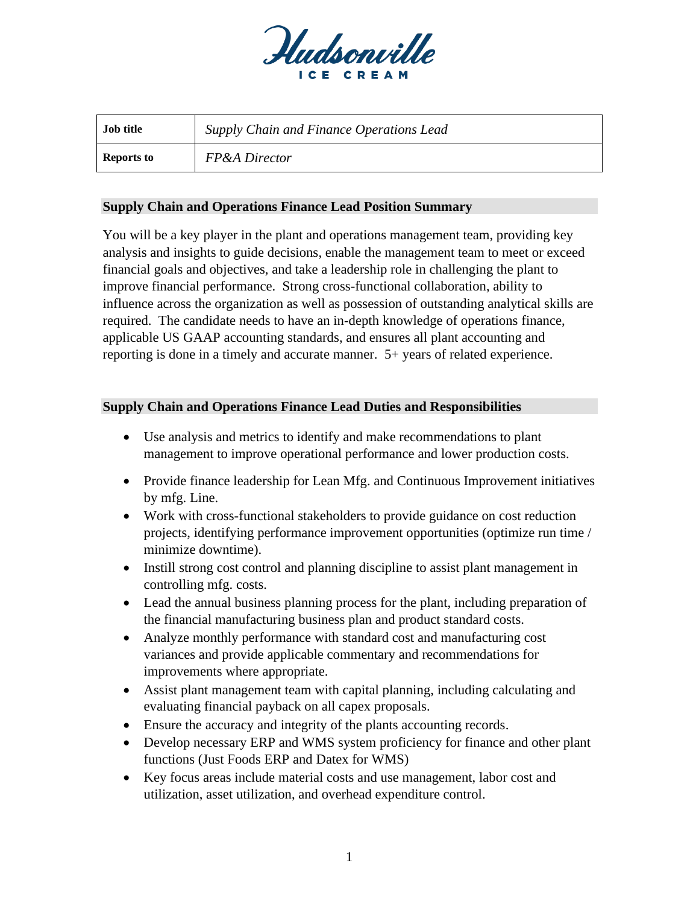

| <b>Job title</b>  | Supply Chain and Finance Operations Lead |
|-------------------|------------------------------------------|
| <b>Reports to</b> | <b>FP&amp;A</b> Director                 |

## **Supply Chain and Operations Finance Lead Position Summary**

You will be a key player in the plant and operations management team, providing key analysis and insights to guide decisions, enable the management team to meet or exceed financial goals and objectives, and take a leadership role in challenging the plant to improve financial performance. Strong cross-functional collaboration, ability to influence across the organization as well as possession of outstanding analytical skills are required. The candidate needs to have an in-depth knowledge of operations finance, applicable US GAAP accounting standards, and ensures all plant accounting and reporting is done in a timely and accurate manner. 5+ years of related experience.

## **Supply Chain and Operations Finance Lead Duties and Responsibilities**

- Use analysis and metrics to identify and make recommendations to plant management to improve operational performance and lower production costs.
- Provide finance leadership for Lean Mfg. and Continuous Improvement initiatives by mfg. Line.
- Work with cross-functional stakeholders to provide guidance on cost reduction projects, identifying performance improvement opportunities (optimize run time / minimize downtime).
- Instill strong cost control and planning discipline to assist plant management in controlling mfg. costs.
- Lead the annual business planning process for the plant, including preparation of the financial manufacturing business plan and product standard costs.
- Analyze monthly performance with standard cost and manufacturing cost variances and provide applicable commentary and recommendations for improvements where appropriate.
- Assist plant management team with capital planning, including calculating and evaluating financial payback on all capex proposals.
- Ensure the accuracy and integrity of the plants accounting records.
- Develop necessary ERP and WMS system proficiency for finance and other plant functions (Just Foods ERP and Datex for WMS)
- Key focus areas include material costs and use management, labor cost and utilization, asset utilization, and overhead expenditure control.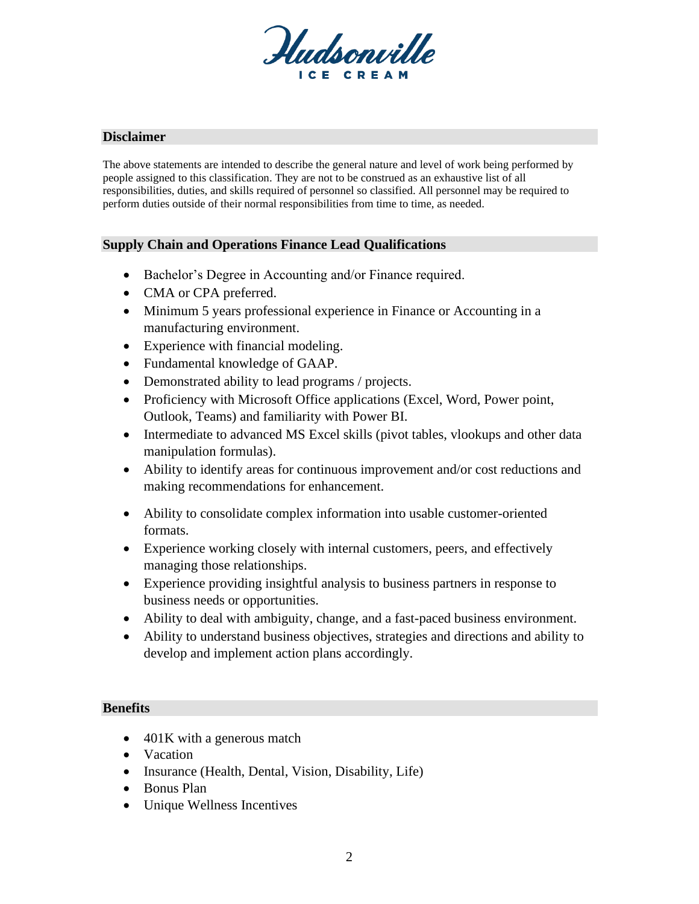

## **Disclaimer**

The above statements are intended to describe the general nature and level of work being performed by people assigned to this classification. They are not to be construed as an exhaustive list of all responsibilities, duties, and skills required of personnel so classified. All personnel may be required to perform duties outside of their normal responsibilities from time to time, as needed.

# **Supply Chain and Operations Finance Lead Qualifications**

- Bachelor's Degree in Accounting and/or Finance required.
- CMA or CPA preferred.
- Minimum 5 years professional experience in Finance or Accounting in a manufacturing environment.
- Experience with financial modeling.
- Fundamental knowledge of GAAP.
- Demonstrated ability to lead programs / projects.
- Proficiency with Microsoft Office applications (Excel, Word, Power point, Outlook, Teams) and familiarity with Power BI.
- Intermediate to advanced MS Excel skills (pivot tables, vlookups and other data manipulation formulas).
- Ability to identify areas for continuous improvement and/or cost reductions and making recommendations for enhancement.
- Ability to consolidate complex information into usable customer-oriented formats.
- Experience working closely with internal customers, peers, and effectively managing those relationships.
- Experience providing insightful analysis to business partners in response to business needs or opportunities.
- Ability to deal with ambiguity, change, and a fast-paced business environment.
- Ability to understand business objectives, strategies and directions and ability to develop and implement action plans accordingly.

#### **Benefits**

- 401K with a generous match
- Vacation
- Insurance (Health, Dental, Vision, Disability, Life)
- Bonus Plan
- Unique Wellness Incentives